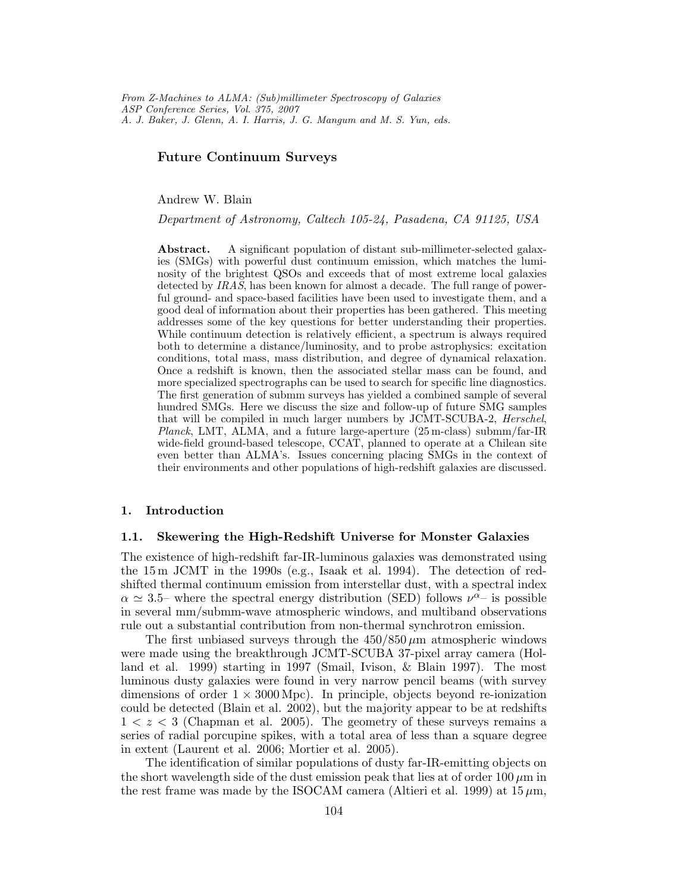From Z-Machines to ALMA: (Sub)millimeter Spectroscopy of Galaxies ASP Conference Series, Vol. 375, 2007 A. J. Baker, J. Glenn, A. I. Harris, J. G. Mangum and M. S. Yun, eds.

# Future Continuum Surveys

Andrew W. Blain

Department of Astronomy, Caltech 105-24, Pasadena, CA 91125, USA

Abstract. A significant population of distant sub-millimeter-selected galaxies (SMGs) with powerful dust continuum emission, which matches the luminosity of the brightest QSOs and exceeds that of most extreme local galaxies detected by IRAS, has been known for almost a decade. The full range of powerful ground- and space-based facilities have been used to investigate them, and a good deal of information about their properties has been gathered. This meeting addresses some of the key questions for better understanding their properties. While continuum detection is relatively efficient, a spectrum is always required both to determine a distance/luminosity, and to probe astrophysics: excitation conditions, total mass, mass distribution, and degree of dynamical relaxation. Once a redshift is known, then the associated stellar mass can be found, and more specialized spectrographs can be used to search for specific line diagnostics. The first generation of submm surveys has yielded a combined sample of several hundred SMGs. Here we discuss the size and follow-up of future SMG samples that will be compiled in much larger numbers by JCMT-SCUBA-2, Herschel, Planck, LMT, ALMA, and a future large-aperture (25 m-class) submm/far-IR wide-field ground-based telescope, CCAT, planned to operate at a Chilean site even better than ALMA's. Issues concerning placing SMGs in the context of their environments and other populations of high-redshift galaxies are discussed.

### 1. Introduction

### 1.1. Skewering the High-Redshift Universe for Monster Galaxies

The existence of high-redshift far-IR-luminous galaxies was demonstrated using the 15 m JCMT in the 1990s (e.g., Isaak et al. 1994). The detection of redshifted thermal continuum emission from interstellar dust, with a spectral index  $\alpha \simeq 3.5$ – where the spectral energy distribution (SED) follows  $\nu^{\alpha}$ – is possible in several mm/submm-wave atmospheric windows, and multiband observations rule out a substantial contribution from non-thermal synchrotron emission.

The first unbiased surveys through the  $450/850 \mu m$  atmospheric windows were made using the breakthrough JCMT-SCUBA 37-pixel array camera (Holland et al. 1999) starting in 1997 (Smail, Ivison, & Blain 1997). The most luminous dusty galaxies were found in very narrow pencil beams (with survey dimensions of order  $1 \times 3000 \,\mathrm{Mpc}$ . In principle, objects beyond re-ionization could be detected (Blain et al. 2002), but the majority appear to be at redshifts  $1 < z < 3$  (Chapman et al. 2005). The geometry of these surveys remains a series of radial porcupine spikes, with a total area of less than a square degree in extent (Laurent et al. 2006; Mortier et al. 2005).

The identification of similar populations of dusty far-IR-emitting objects on the short wavelength side of the dust emission peak that lies at of order  $100 \mu m$  in the rest frame was made by the ISOCAM camera (Altieri et al. 1999) at  $15 \,\mu \mathrm{m}$ ,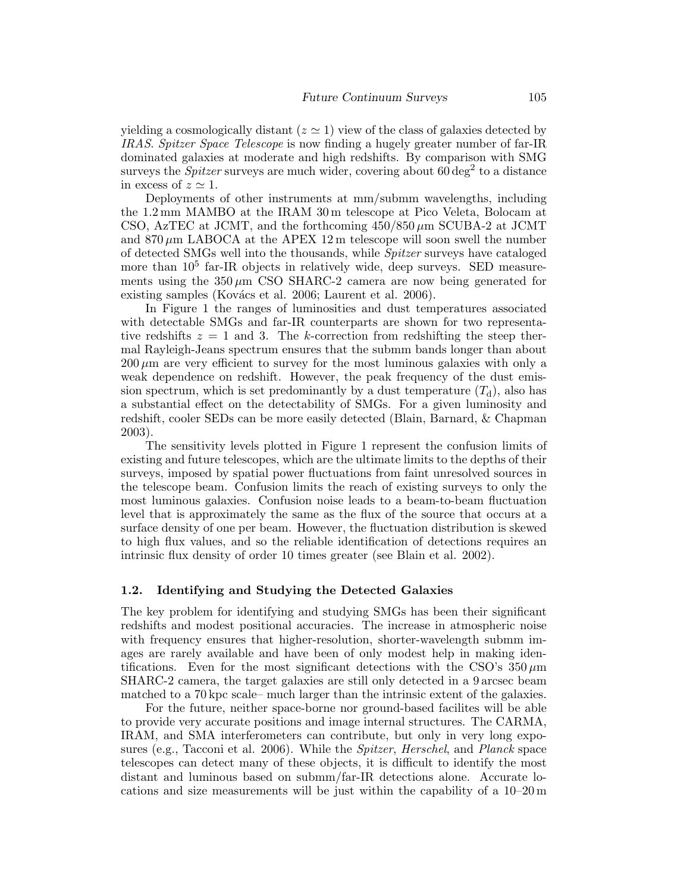yielding a cosmologically distant ( $z \approx 1$ ) view of the class of galaxies detected by IRAS. Spitzer Space Telescope is now finding a hugely greater number of far-IR dominated galaxies at moderate and high redshifts. By comparison with SMG surveys the *Spitzer* surveys are much wider, covering about  $60 \text{ deg}^2$  to a distance in excess of  $z \simeq 1$ .

Deployments of other instruments at mm/submm wavelengths, including the 1.2 mm MAMBO at the IRAM 30 m telescope at Pico Veleta, Bolocam at CSO, AzTEC at JCMT, and the forthcoming  $450/850 \,\mu m$  SCUBA-2 at JCMT and  $870 \mu m$  LABOCA at the APEX 12 m telescope will soon swell the number of detected SMGs well into the thousands, while Spitzer surveys have cataloged more than  $10^5$  far-IR objects in relatively wide, deep surveys. SED measurements using the  $350 \mu m$  CSO SHARC-2 camera are now being generated for existing samples (Kovács et al. 2006; Laurent et al. 2006).

In Figure 1 the ranges of luminosities and dust temperatures associated with detectable SMGs and far-IR counterparts are shown for two representative redshifts  $z = 1$  and 3. The k-correction from redshifting the steep thermal Rayleigh-Jeans spectrum ensures that the submm bands longer than about  $200 \mu m$  are very efficient to survey for the most luminous galaxies with only a weak dependence on redshift. However, the peak frequency of the dust emission spectrum, which is set predominantly by a dust temperature  $(T_d)$ , also has a substantial effect on the detectability of SMGs. For a given luminosity and redshift, cooler SEDs can be more easily detected (Blain, Barnard, & Chapman 2003).

The sensitivity levels plotted in Figure 1 represent the confusion limits of existing and future telescopes, which are the ultimate limits to the depths of their surveys, imposed by spatial power fluctuations from faint unresolved sources in the telescope beam. Confusion limits the reach of existing surveys to only the most luminous galaxies. Confusion noise leads to a beam-to-beam fluctuation level that is approximately the same as the flux of the source that occurs at a surface density of one per beam. However, the fluctuation distribution is skewed to high flux values, and so the reliable identification of detections requires an intrinsic flux density of order 10 times greater (see Blain et al. 2002).

### 1.2. Identifying and Studying the Detected Galaxies

The key problem for identifying and studying SMGs has been their significant redshifts and modest positional accuracies. The increase in atmospheric noise with frequency ensures that higher-resolution, shorter-wavelength submm images are rarely available and have been of only modest help in making identifications. Even for the most significant detections with the CSO's  $350 \,\mu m$ SHARC-2 camera, the target galaxies are still only detected in a 9 arcsec beam matched to a 70 kpc scale– much larger than the intrinsic extent of the galaxies.

For the future, neither space-borne nor ground-based facilites will be able to provide very accurate positions and image internal structures. The CARMA, IRAM, and SMA interferometers can contribute, but only in very long exposures (e.g., Tacconi et al. 2006). While the Spitzer, Herschel, and Planck space telescopes can detect many of these objects, it is difficult to identify the most distant and luminous based on submm/far-IR detections alone. Accurate locations and size measurements will be just within the capability of a 10–20 m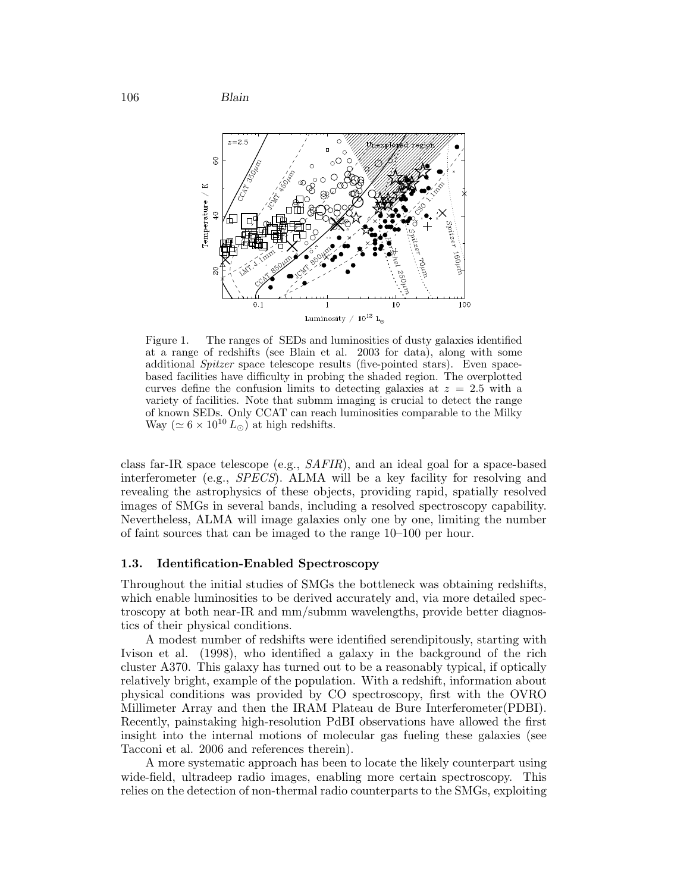106 Blain



Figure 1. The ranges of SEDs and luminosities of dusty galaxies identified at a range of redshifts (see Blain et al. 2003 for data), along with some additional Spitzer space telescope results (five-pointed stars). Even spacebased facilities have difficulty in probing the shaded region. The overplotted curves define the confusion limits to detecting galaxies at  $z = 2.5$  with a variety of facilities. Note that submm imaging is crucial to detect the range of known SEDs. Only CCAT can reach luminosities comparable to the Milky Way ( $\simeq 6 \times 10^{10} L_{\odot}$ ) at high redshifts.

class far-IR space telescope (e.g., SAFIR), and an ideal goal for a space-based interferometer (e.g., SPECS). ALMA will be a key facility for resolving and revealing the astrophysics of these objects, providing rapid, spatially resolved images of SMGs in several bands, including a resolved spectroscopy capability. Nevertheless, ALMA will image galaxies only one by one, limiting the number of faint sources that can be imaged to the range 10–100 per hour.

### 1.3. Identification-Enabled Spectroscopy

Throughout the initial studies of SMGs the bottleneck was obtaining redshifts, which enable luminosities to be derived accurately and, via more detailed spectroscopy at both near-IR and mm/submm wavelengths, provide better diagnostics of their physical conditions.

A modest number of redshifts were identified serendipitously, starting with Ivison et al. (1998), who identified a galaxy in the background of the rich cluster A370. This galaxy has turned out to be a reasonably typical, if optically relatively bright, example of the population. With a redshift, information about physical conditions was provided by CO spectroscopy, first with the OVRO Millimeter Array and then the IRAM Plateau de Bure Interferometer(PDBI). Recently, painstaking high-resolution PdBI observations have allowed the first insight into the internal motions of molecular gas fueling these galaxies (see Tacconi et al. 2006 and references therein).

A more systematic approach has been to locate the likely counterpart using wide-field, ultradeep radio images, enabling more certain spectroscopy. This relies on the detection of non-thermal radio counterparts to the SMGs, exploiting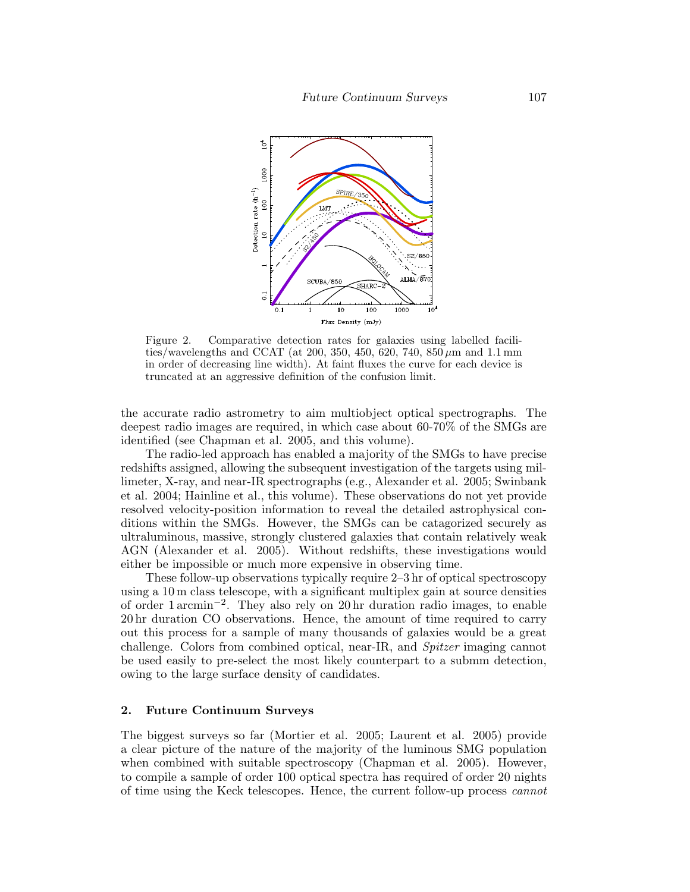

Figure 2. Comparative detection rates for galaxies using labelled facilities/wavelengths and CCAT (at 200, 350, 450, 620, 740, 850  $\mu$ m and 1.1 mm in order of decreasing line width). At faint fluxes the curve for each device is truncated at an aggressive definition of the confusion limit.

the accurate radio astrometry to aim multiobject optical spectrographs. The deepest radio images are required, in which case about 60-70% of the SMGs are identified (see Chapman et al. 2005, and this volume).

The radio-led approach has enabled a majority of the SMGs to have precise redshifts assigned, allowing the subsequent investigation of the targets using millimeter, X-ray, and near-IR spectrographs (e.g., Alexander et al. 2005; Swinbank et al. 2004; Hainline et al., this volume). These observations do not yet provide resolved velocity-position information to reveal the detailed astrophysical conditions within the SMGs. However, the SMGs can be catagorized securely as ultraluminous, massive, strongly clustered galaxies that contain relatively weak AGN (Alexander et al. 2005). Without redshifts, these investigations would either be impossible or much more expensive in observing time.

These follow-up observations typically require 2–3 hr of optical spectroscopy using a 10 m class telescope, with a significant multiplex gain at source densities of order 1 arcmin−<sup>2</sup> . They also rely on 20 hr duration radio images, to enable 20 hr duration CO observations. Hence, the amount of time required to carry out this process for a sample of many thousands of galaxies would be a great challenge. Colors from combined optical, near-IR, and Spitzer imaging cannot be used easily to pre-select the most likely counterpart to a submm detection, owing to the large surface density of candidates.

## 2. Future Continuum Surveys

The biggest surveys so far (Mortier et al. 2005; Laurent et al. 2005) provide a clear picture of the nature of the majority of the luminous SMG population when combined with suitable spectroscopy (Chapman et al. 2005). However, to compile a sample of order 100 optical spectra has required of order 20 nights of time using the Keck telescopes. Hence, the current follow-up process cannot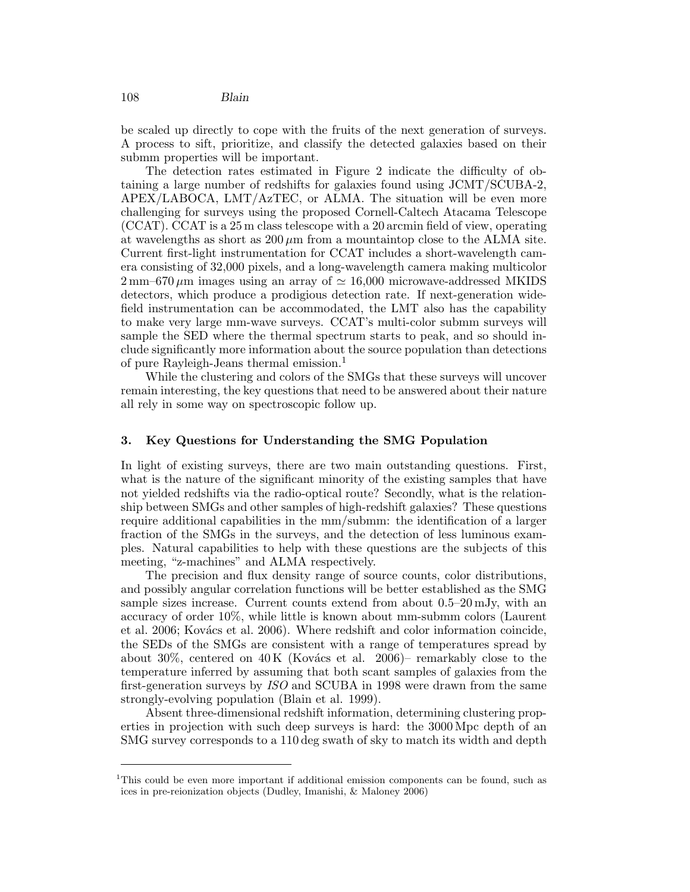be scaled up directly to cope with the fruits of the next generation of surveys. A process to sift, prioritize, and classify the detected galaxies based on their submm properties will be important.

The detection rates estimated in Figure 2 indicate the difficulty of obtaining a large number of redshifts for galaxies found using JCMT/SCUBA-2, APEX/LABOCA, LMT/AzTEC, or ALMA. The situation will be even more challenging for surveys using the proposed Cornell-Caltech Atacama Telescope (CCAT). CCAT is a 25 m class telescope with a 20 arcmin field of view, operating at wavelengths as short as  $200 \mu m$  from a mountaintop close to the ALMA site. Current first-light instrumentation for CCAT includes a short-wavelength camera consisting of 32,000 pixels, and a long-wavelength camera making multicolor  $2 \text{ mm}$ –670  $\mu$ m images using an array of  $\simeq 16,000$  microwave-addressed MKIDS detectors, which produce a prodigious detection rate. If next-generation widefield instrumentation can be accommodated, the LMT also has the capability to make very large mm-wave surveys. CCAT's multi-color submm surveys will sample the SED where the thermal spectrum starts to peak, and so should include significantly more information about the source population than detections of pure Rayleigh-Jeans thermal emission.<sup>1</sup>

While the clustering and colors of the SMGs that these surveys will uncover remain interesting, the key questions that need to be answered about their nature all rely in some way on spectroscopic follow up.

# 3. Key Questions for Understanding the SMG Population

In light of existing surveys, there are two main outstanding questions. First, what is the nature of the significant minority of the existing samples that have not yielded redshifts via the radio-optical route? Secondly, what is the relationship between SMGs and other samples of high-redshift galaxies? These questions require additional capabilities in the mm/submm: the identification of a larger fraction of the SMGs in the surveys, and the detection of less luminous examples. Natural capabilities to help with these questions are the subjects of this meeting, "z-machines" and ALMA respectively.

The precision and flux density range of source counts, color distributions, and possibly angular correlation functions will be better established as the SMG sample sizes increase. Current counts extend from about  $0.5-20 \,\mathrm{mJy}$ , with an accuracy of order 10%, while little is known about mm-submm colors (Laurent et al. 2006; Kovács et al. 2006). Where redshift and color information coincide, the SEDs of the SMGs are consistent with a range of temperatures spread by about 30%, centered on 40 K (Kovács et al. 2006)– remarkably close to the temperature inferred by assuming that both scant samples of galaxies from the first-generation surveys by ISO and SCUBA in 1998 were drawn from the same strongly-evolving population (Blain et al. 1999).

Absent three-dimensional redshift information, determining clustering properties in projection with such deep surveys is hard: the 3000 Mpc depth of an SMG survey corresponds to a 110 deg swath of sky to match its width and depth

<sup>&</sup>lt;sup>1</sup>This could be even more important if additional emission components can be found, such as ices in pre-reionization objects (Dudley, Imanishi, & Maloney 2006)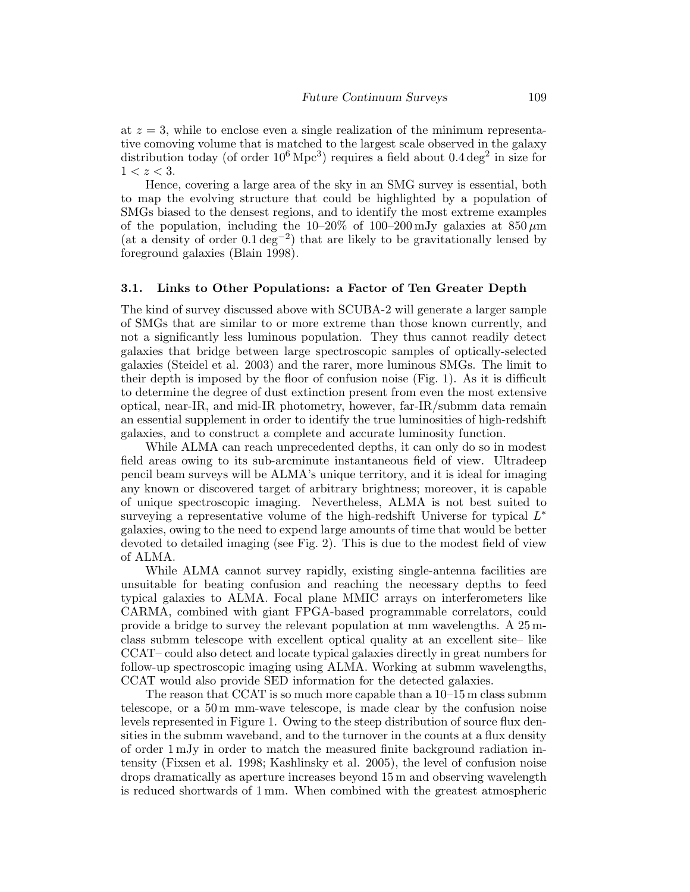at  $z = 3$ , while to enclose even a single realization of the minimum representative comoving volume that is matched to the largest scale observed in the galaxy distribution today (of order  $10^6 \text{ Mpc}^3$ ) requires a field about  $0.4 \text{ deg}^2$  in size for  $1 < z < 3$ .

Hence, covering a large area of the sky in an SMG survey is essential, both to map the evolving structure that could be highlighted by a population of SMGs biased to the densest regions, and to identify the most extreme examples of the population, including the  $10-20\%$  of  $100-200$  mJy galaxies at  $850 \,\mu m$ (at a density of order 0.1 deg−<sup>2</sup> ) that are likely to be gravitationally lensed by foreground galaxies (Blain 1998).

### 3.1. Links to Other Populations: a Factor of Ten Greater Depth

The kind of survey discussed above with SCUBA-2 will generate a larger sample of SMGs that are similar to or more extreme than those known currently, and not a significantly less luminous population. They thus cannot readily detect galaxies that bridge between large spectroscopic samples of optically-selected galaxies (Steidel et al. 2003) and the rarer, more luminous SMGs. The limit to their depth is imposed by the floor of confusion noise (Fig. 1). As it is difficult to determine the degree of dust extinction present from even the most extensive optical, near-IR, and mid-IR photometry, however, far-IR/submm data remain an essential supplement in order to identify the true luminosities of high-redshift galaxies, and to construct a complete and accurate luminosity function.

While ALMA can reach unprecedented depths, it can only do so in modest field areas owing to its sub-arcminute instantaneous field of view. Ultradeep pencil beam surveys will be ALMA's unique territory, and it is ideal for imaging any known or discovered target of arbitrary brightness; moreover, it is capable of unique spectroscopic imaging. Nevertheless, ALMA is not best suited to surveying a representative volume of the high-redshift Universe for typical  $L^*$ galaxies, owing to the need to expend large amounts of time that would be better devoted to detailed imaging (see Fig. 2). This is due to the modest field of view of ALMA.

While ALMA cannot survey rapidly, existing single-antenna facilities are unsuitable for beating confusion and reaching the necessary depths to feed typical galaxies to ALMA. Focal plane MMIC arrays on interferometers like CARMA, combined with giant FPGA-based programmable correlators, could provide a bridge to survey the relevant population at mm wavelengths. A 25 mclass submm telescope with excellent optical quality at an excellent site– like CCAT– could also detect and locate typical galaxies directly in great numbers for follow-up spectroscopic imaging using ALMA. Working at submm wavelengths, CCAT would also provide SED information for the detected galaxies.

The reason that CCAT is so much more capable than a 10–15 m class submm telescope, or a 50 m mm-wave telescope, is made clear by the confusion noise levels represented in Figure 1. Owing to the steep distribution of source flux densities in the submm waveband, and to the turnover in the counts at a flux density of order 1 mJy in order to match the measured finite background radiation intensity (Fixsen et al. 1998; Kashlinsky et al. 2005), the level of confusion noise drops dramatically as aperture increases beyond 15 m and observing wavelength is reduced shortwards of 1 mm. When combined with the greatest atmospheric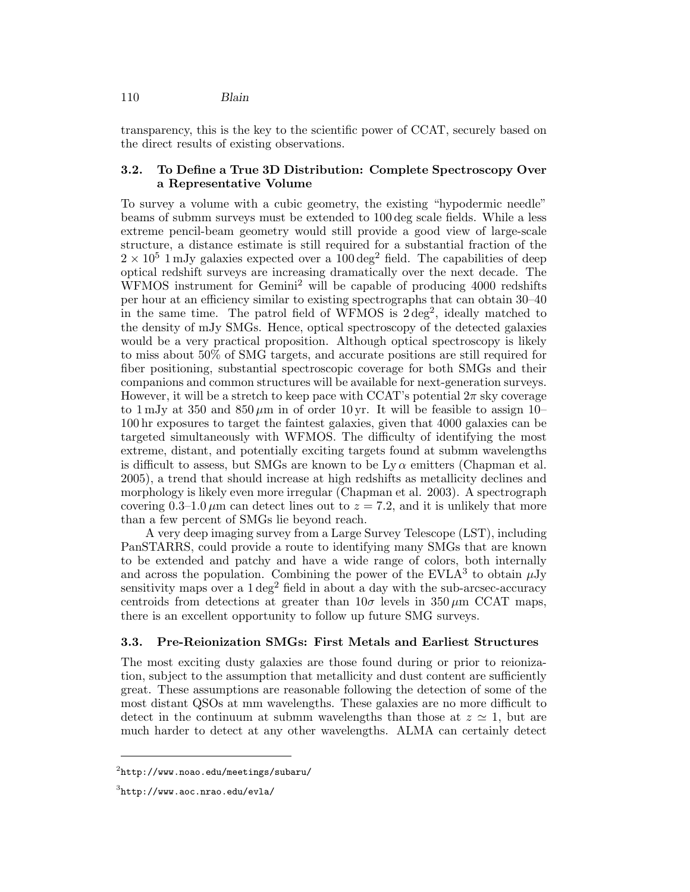transparency, this is the key to the scientific power of CCAT, securely based on the direct results of existing observations.

# 3.2. To Define a True 3D Distribution: Complete Spectroscopy Over a Representative Volume

To survey a volume with a cubic geometry, the existing "hypodermic needle" beams of submm surveys must be extended to 100 deg scale fields. While a less extreme pencil-beam geometry would still provide a good view of large-scale structure, a distance estimate is still required for a substantial fraction of the  $2 \times 10^5$  1 mJy galaxies expected over a 100 deg<sup>2</sup> field. The capabilities of deep optical redshift surveys are increasing dramatically over the next decade. The WFMOS instrument for Gemini<sup>2</sup> will be capable of producing 4000 redshifts per hour at an efficiency similar to existing spectrographs that can obtain 30–40 in the same time. The patrol field of WFMOS is  $2 \text{ deg}^2$ , ideally matched to the density of mJy SMGs. Hence, optical spectroscopy of the detected galaxies would be a very practical proposition. Although optical spectroscopy is likely to miss about 50% of SMG targets, and accurate positions are still required for fiber positioning, substantial spectroscopic coverage for both SMGs and their companions and common structures will be available for next-generation surveys. However, it will be a stretch to keep pace with CCAT's potential  $2\pi$  sky coverage to 1 mJy at 350 and  $850 \,\mu m$  in of order 10 yr. It will be feasible to assign 10– 100 hr exposures to target the faintest galaxies, given that 4000 galaxies can be targeted simultaneously with WFMOS. The difficulty of identifying the most extreme, distant, and potentially exciting targets found at submm wavelengths is difficult to assess, but SMGs are known to be  $Ly \alpha$  emitters (Chapman et al. 2005), a trend that should increase at high redshifts as metallicity declines and morphology is likely even more irregular (Chapman et al. 2003). A spectrograph covering 0.3–1.0  $\mu$ m can detect lines out to  $z = 7.2$ , and it is unlikely that more than a few percent of SMGs lie beyond reach.

A very deep imaging survey from a Large Survey Telescope (LST), including PanSTARRS, could provide a route to identifying many SMGs that are known to be extended and patchy and have a wide range of colors, both internally and across the population. Combining the power of the  $EVAL{A}^3$  to obtain  $\mu$ Jy sensitivity maps over a  $1 \text{ deg}^2$  field in about a day with the sub-arcsec-accuracy centroids from detections at greater than  $10\sigma$  levels in  $350 \,\mu \text{m}$  CCAT maps, there is an excellent opportunity to follow up future SMG surveys.

## 3.3. Pre-Reionization SMGs: First Metals and Earliest Structures

The most exciting dusty galaxies are those found during or prior to reionization, subject to the assumption that metallicity and dust content are sufficiently great. These assumptions are reasonable following the detection of some of the most distant QSOs at mm wavelengths. These galaxies are no more difficult to detect in the continuum at submm wavelengths than those at  $z \approx 1$ , but are much harder to detect at any other wavelengths. ALMA can certainly detect

 $^{2}$ http://www.noao.edu/meetings/subaru/

 $^3$ http://www.aoc.nrao.edu/evla/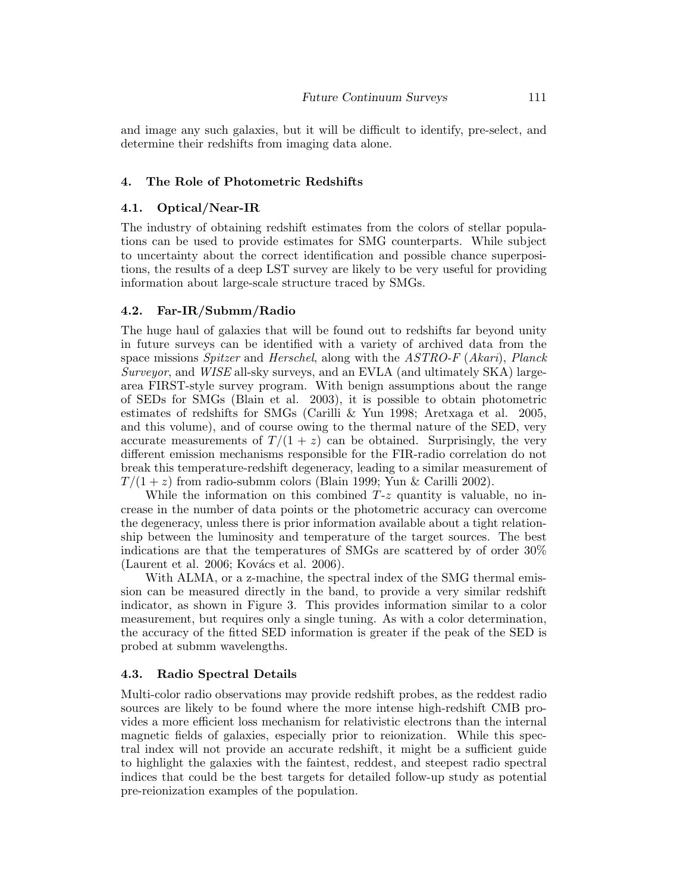and image any such galaxies, but it will be difficult to identify, pre-select, and determine their redshifts from imaging data alone.

## 4. The Role of Photometric Redshifts

### 4.1. Optical/Near-IR

The industry of obtaining redshift estimates from the colors of stellar populations can be used to provide estimates for SMG counterparts. While subject to uncertainty about the correct identification and possible chance superpositions, the results of a deep LST survey are likely to be very useful for providing information about large-scale structure traced by SMGs.

## 4.2. Far-IR/Submm/Radio

The huge haul of galaxies that will be found out to redshifts far beyond unity in future surveys can be identified with a variety of archived data from the space missions Spitzer and Herschel, along with the ASTRO-F (Akari), Planck Surveyor, and WISE all-sky surveys, and an EVLA (and ultimately SKA) largearea FIRST-style survey program. With benign assumptions about the range of SEDs for SMGs (Blain et al. 2003), it is possible to obtain photometric estimates of redshifts for SMGs (Carilli & Yun 1998; Aretxaga et al. 2005, and this volume), and of course owing to the thermal nature of the SED, very accurate measurements of  $T/(1+z)$  can be obtained. Surprisingly, the very different emission mechanisms responsible for the FIR-radio correlation do not break this temperature-redshift degeneracy, leading to a similar measurement of  $T/(1+z)$  from radio-submm colors (Blain 1999; Yun & Carilli 2002).

While the information on this combined  $T-z$  quantity is valuable, no increase in the number of data points or the photometric accuracy can overcome the degeneracy, unless there is prior information available about a tight relationship between the luminosity and temperature of the target sources. The best indications are that the temperatures of SMGs are scattered by of order 30% (Laurent et al. 2006; Kovács et al. 2006).

With ALMA, or a z-machine, the spectral index of the SMG thermal emission can be measured directly in the band, to provide a very similar redshift indicator, as shown in Figure 3. This provides information similar to a color measurement, but requires only a single tuning. As with a color determination, the accuracy of the fitted SED information is greater if the peak of the SED is probed at submm wavelengths.

### 4.3. Radio Spectral Details

Multi-color radio observations may provide redshift probes, as the reddest radio sources are likely to be found where the more intense high-redshift CMB provides a more efficient loss mechanism for relativistic electrons than the internal magnetic fields of galaxies, especially prior to reionization. While this spectral index will not provide an accurate redshift, it might be a sufficient guide to highlight the galaxies with the faintest, reddest, and steepest radio spectral indices that could be the best targets for detailed follow-up study as potential pre-reionization examples of the population.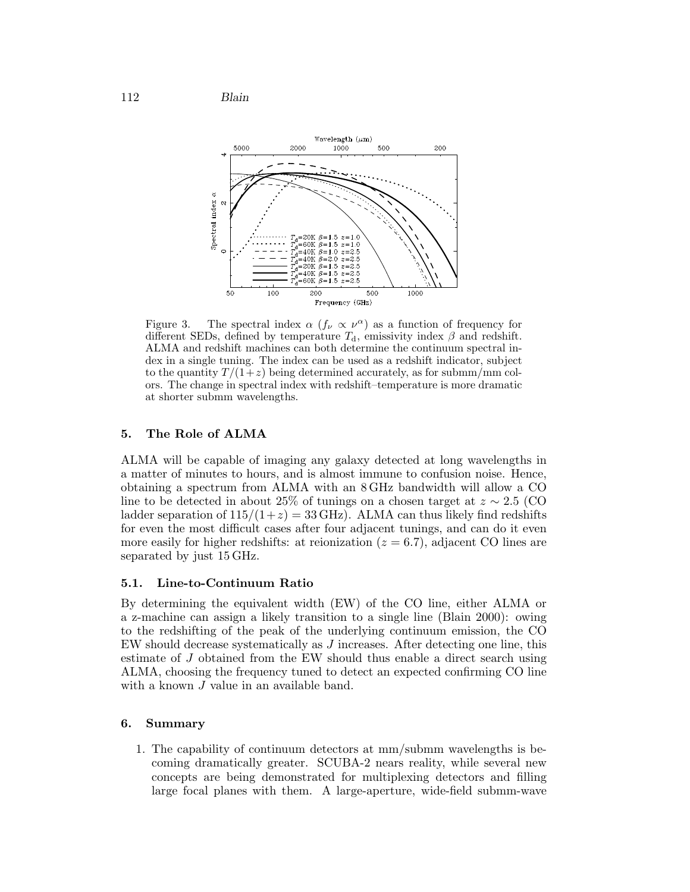112 Blain



Figure 3. The spectral index  $\alpha$  ( $f_{\nu} \propto \nu^{\alpha}$ ) as a function of frequency for different SEDs, defined by temperature  $T_d$ , emissivity index  $\beta$  and redshift. ALMA and redshift machines can both determine the continuum spectral index in a single tuning. The index can be used as a redshift indicator, subject to the quantity  $T/(1+z)$  being determined accurately, as for submm/mm colors. The change in spectral index with redshift–temperature is more dramatic at shorter submm wavelengths.

# 5. The Role of ALMA

ALMA will be capable of imaging any galaxy detected at long wavelengths in a matter of minutes to hours, and is almost immune to confusion noise. Hence, obtaining a spectrum from ALMA with an 8 GHz bandwidth will allow a CO line to be detected in about 25% of tunings on a chosen target at  $z \sim 2.5$  (CO) ladder separation of  $115/(1+z) = 33 \text{ GHz}$ . ALMA can thus likely find redshifts for even the most difficult cases after four adjacent tunings, and can do it even more easily for higher redshifts: at reionization  $(z = 6.7)$ , adjacent CO lines are separated by just 15 GHz.

# 5.1. Line-to-Continuum Ratio

By determining the equivalent width (EW) of the CO line, either ALMA or a z-machine can assign a likely transition to a single line (Blain 2000): owing to the redshifting of the peak of the underlying continuum emission, the CO EW should decrease systematically as J increases. After detecting one line, this estimate of J obtained from the EW should thus enable a direct search using ALMA, choosing the frequency tuned to detect an expected confirming CO line with a known *J* value in an available band.

# 6. Summary

1. The capability of continuum detectors at mm/submm wavelengths is becoming dramatically greater. SCUBA-2 nears reality, while several new concepts are being demonstrated for multiplexing detectors and filling large focal planes with them. A large-aperture, wide-field submm-wave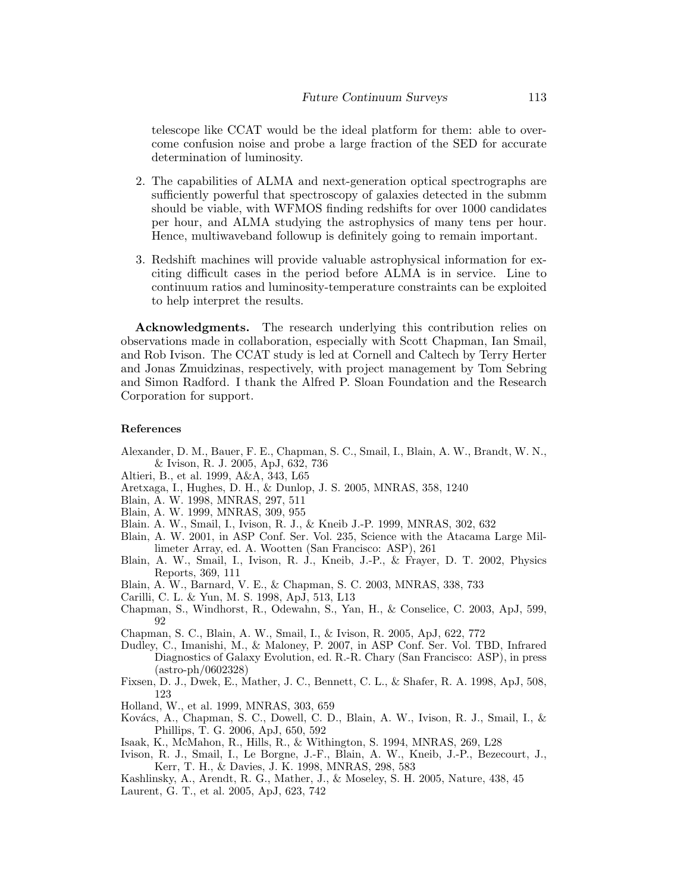telescope like CCAT would be the ideal platform for them: able to overcome confusion noise and probe a large fraction of the SED for accurate determination of luminosity.

- 2. The capabilities of ALMA and next-generation optical spectrographs are sufficiently powerful that spectroscopy of galaxies detected in the submm should be viable, with WFMOS finding redshifts for over 1000 candidates per hour, and ALMA studying the astrophysics of many tens per hour. Hence, multiwaveband followup is definitely going to remain important.
- 3. Redshift machines will provide valuable astrophysical information for exciting difficult cases in the period before ALMA is in service. Line to continuum ratios and luminosity-temperature constraints can be exploited to help interpret the results.

Acknowledgments. The research underlying this contribution relies on observations made in collaboration, especially with Scott Chapman, Ian Smail, and Rob Ivison. The CCAT study is led at Cornell and Caltech by Terry Herter and Jonas Zmuidzinas, respectively, with project management by Tom Sebring and Simon Radford. I thank the Alfred P. Sloan Foundation and the Research Corporation for support.

### References

- Alexander, D. M., Bauer, F. E., Chapman, S. C., Smail, I., Blain, A. W., Brandt, W. N., & Ivison, R. J. 2005, ApJ, 632, 736
- Altieri, B., et al. 1999, A&A, 343, L65
- Aretxaga, I., Hughes, D. H., & Dunlop, J. S. 2005, MNRAS, 358, 1240
- Blain, A. W. 1998, MNRAS, 297, 511
- Blain, A. W. 1999, MNRAS, 309, 955
- Blain. A. W., Smail, I., Ivison, R. J., & Kneib J.-P. 1999, MNRAS, 302, 632
- Blain, A. W. 2001, in ASP Conf. Ser. Vol. 235, Science with the Atacama Large Millimeter Array, ed. A. Wootten (San Francisco: ASP), 261
- Blain, A. W., Smail, I., Ivison, R. J., Kneib, J.-P., & Frayer, D. T. 2002, Physics Reports, 369, 111
- Blain, A. W., Barnard, V. E., & Chapman, S. C. 2003, MNRAS, 338, 733
- Carilli, C. L. & Yun, M. S. 1998, ApJ, 513, L13
- Chapman, S., Windhorst, R., Odewahn, S., Yan, H., & Conselice, C. 2003, ApJ, 599, 92
- Chapman, S. C., Blain, A. W., Smail, I., & Ivison, R. 2005, ApJ, 622, 772
- Dudley, C., Imanishi, M., & Maloney, P. 2007, in ASP Conf. Ser. Vol. TBD, Infrared Diagnostics of Galaxy Evolution, ed. R.-R. Chary (San Francisco: ASP), in press (astro-ph/0602328)
- Fixsen, D. J., Dwek, E., Mather, J. C., Bennett, C. L., & Shafer, R. A. 1998, ApJ, 508, 123
- Holland, W., et al. 1999, MNRAS, 303, 659
- Kovács, A., Chapman, S. C., Dowell, C. D., Blain, A. W., Ivison, R. J., Smail, I., & Phillips, T. G. 2006, ApJ, 650, 592
- Isaak, K., McMahon, R., Hills, R., & Withington, S. 1994, MNRAS, 269, L28
- Ivison, R. J., Smail, I., Le Borgne, J.-F., Blain, A. W., Kneib, J.-P., Bezecourt, J., Kerr, T. H., & Davies, J. K. 1998, MNRAS, 298, 583
- Kashlinsky, A., Arendt, R. G., Mather, J., & Moseley, S. H. 2005, Nature, 438, 45 Laurent, G. T., et al. 2005, ApJ, 623, 742